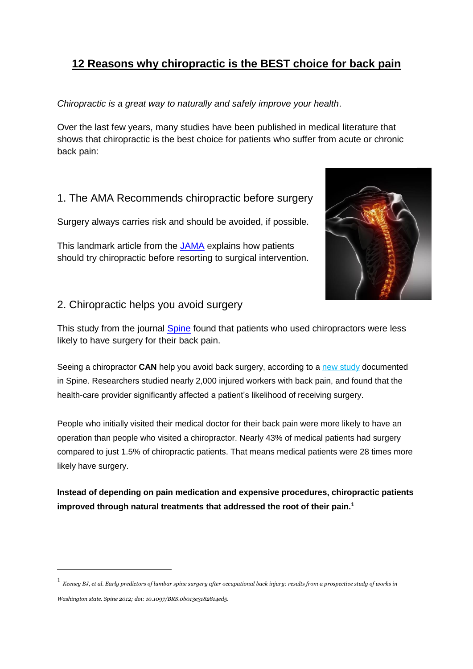## **[12 Reasons why chiropractic is the BEST choice for back pain](http://www.chirohosting.com/12-reasons-chiropractic-best-back-pain/)**

*Chiropractic is a great way to naturally and safely improve your health*.

Over the last few years, many studies have been published in medical literature that shows that chiropractic is the best choice for patients who suffer from acute or chronic back pain:

1. The AMA Recommends chiropractic before surgery

Surgery always carries risk and should be avoided, if possible.

This landmark [article from the](http://www.chironexus.net/2013/05/journal-of-the-american-medical-association-use-chiropractic-for-back-pain-before-resorting-to-surgery/) JAMA explains how patients should try chiropractic before resorting to surgical intervention.



## 2. Chiropractic helps you avoid surgery

This [study from the journal](http://www.chironexus.net/2013/04/video-chiropractic-prevents-the-need-for-back-surgery/) **Spine** found that patients who used chiropractors were less likely to have surgery for their back pain.

Seeing a chiropractor **CAN** help you avoid back surgery, according to a new [study](http://www.chironexus.net/2013/04/video-chiropractic-prevents-the-need-for-back-surgery/2013/02/chiropractic-helps-patients-avoid-back-surgery-study-shows/201502) documented in Spine. Researchers studied nearly 2,000 injured workers with back pain, and found that the health-care provider significantly affected a patient's likelihood of receiving surgery.

People who initially visited their medical doctor for their back pain were more likely to have an operation than people who visited a chiropractor. Nearly 43% of medical patients had surgery compared to just 1.5% of chiropractic patients. That means medical patients were 28 times more likely have surgery.

**Instead of depending on pain medication and expensive procedures, chiropractic patients improved through natural treatments that addressed the root of their pain.<sup>1</sup>**

*Washington state. Spine 2012; doi: 10.1097/BRS.0b013e3182814ed5.*

**.** 

 $^1$  Keeney BJ, et al. Early predictors of lumbar spine surgery after occupational back injury: results from a prospective study of works in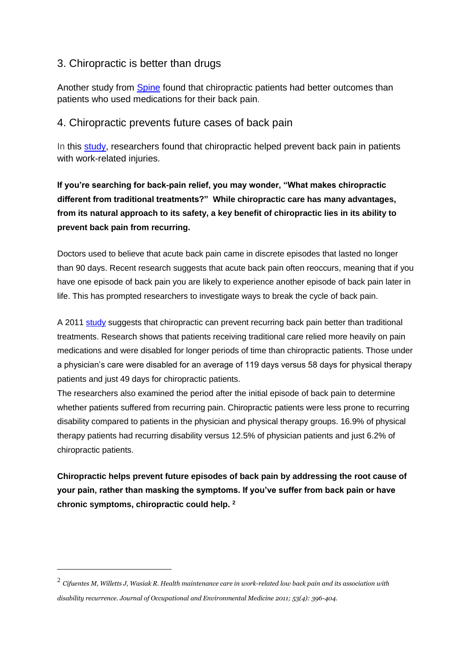#### 3. Chiropractic is better than drugs

[Another study from Spine](http://www.chironexus.net/2013/04/chiropractic-more-effective-than-drugs-for-back-pain-study-shows/) found that chiropractic patients had better outcomes than patients who used medications for their back pain.

#### 4. Chiropractic prevents future cases of back pain

In [this study,](http://www.chironexus.net/2012/10/chiropractic-vs-traditional-care-for-preventing-back-pain/) researchers found that chiropractic helped prevent back pain in patients with work-related injuries.

**If you're searching for back-pain relief, you may wonder, "What makes chiropractic different from traditional treatments?" While chiropractic care has many advantages, from its natural approach to its safety, a key benefit of chiropractic lies in its ability to prevent back pain from recurring.**

Doctors used to believe that acute back pain came in discrete episodes that lasted no longer than 90 days. Recent research suggests that acute back pain often reoccurs, meaning that if you have one episode of back pain you are likely to experience another episode of back pain later in life. This has prompted researchers to investigate ways to break the cycle of back pain.

A 2011 [study](http://www.chironexus.net/2012/10/chiropractic-vs-traditional-care-for-preventing-back-pain/2012/09/chiropractic-prevents-back-pain-better-than-medical-treatments-study-finds/) suggests that chiropractic can prevent recurring back pain better than traditional treatments. Research shows that patients receiving traditional care relied more heavily on pain medications and were disabled for longer periods of time than chiropractic patients. Those under a physician's care were disabled for an average of 119 days versus 58 days for physical therapy patients and just 49 days for chiropractic patients.

The researchers also examined the period after the initial episode of back pain to determine whether patients suffered from recurring pain. Chiropractic patients were less prone to recurring disability compared to patients in the physician and physical therapy groups. 16.9% of physical therapy patients had recurring disability versus 12.5% of physician patients and just 6.2% of chiropractic patients.

**Chiropractic helps prevent future episodes of back pain by addressing the root cause of your pain, rather than masking the symptoms. If you've suffer from back pain or have chronic symptoms, chiropractic could help. <sup>2</sup>**

**.** 

 $^2$  Cifuentes M, Willetts J, Wasiak R. Health maintenance care in work-related low back pain and its association with *disability recurrence. Journal of Occupational and Environmental Medicine 2011; 53(4): 396-404.*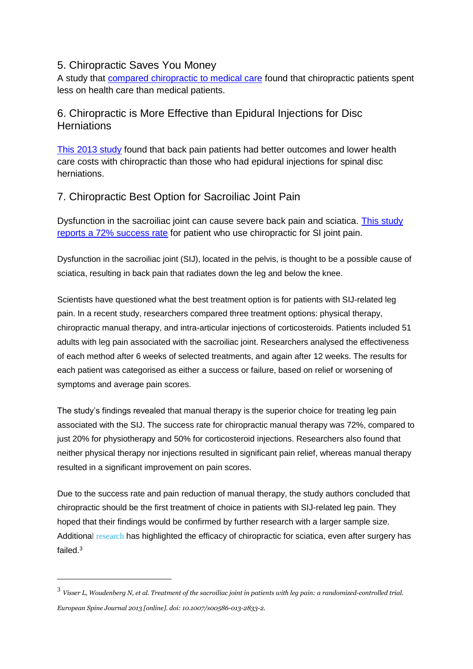#### 5. Chiropractic Saves You Money

A study that [compared chiropractic to medical care](http://www.chironexus.net/2013/01/video-chiropractic-patients-have-lower-medical-costs/) found that chiropractic patients spent less on health care than medical patients.

## 6. Chiropractic is More Effective than Epidural Injections for Disc **Herniations**

[This 2013 study](http://www.chironexus.net/2013/07/chiropractic-vs-steroid-injections-for-disc-herniation-video-for-disc-herniation-video/) found that back pain patients had better outcomes and lower health care costs with chiropractic than those who had epidural injections for spinal disc herniations.

## 7. Chiropractic Best Option for Sacroiliac Joint Pain

Dysfunction in the sacroiliac joint can cause severe back pain and sciatica. [This study](http://www.chironexus.net/2013/08/chiropractic-best-option-for-treating-sacroiliac-joint/)  [reports a 72% success rate](http://www.chironexus.net/2013/08/chiropractic-best-option-for-treating-sacroiliac-joint/) for patient who use chiropractic for SI joint pain.

Dysfunction in the sacroiliac joint (SIJ), located in the pelvis, is thought to be a possible cause of sciatica, resulting in back pain that radiates down the leg and below the knee.

Scientists have questioned what the best treatment option is for patients with SIJ-related leg pain. In a recent study, researchers compared three treatment options: physical therapy, chiropractic manual therapy, and intra-articular injections of corticosteroids. Patients included 51 adults with leg pain associated with the sacroiliac joint. Researchers analysed the effectiveness of each method after 6 weeks of selected treatments, and again after 12 weeks. The results for each patient was categorised as either a success or failure, based on relief or worsening of symptoms and average pain scores.

The study's findings revealed that manual therapy is the superior choice for treating leg pain associated with the SIJ. The success rate for chiropractic manual therapy was 72%, compared to just 20% for physiotherapy and 50% for corticosteroid injections. Researchers also found that neither physical therapy nor injections resulted in significant pain relief, whereas manual therapy resulted in a significant improvement on pain scores.

Due to the success rate and pain reduction of manual therapy, the study authors concluded that chiropractic should be the first treatment of choice in patients with SIJ-related leg pain. They hoped that their findings would be confirmed by further research with a larger sample size. Additional [research](http://www.chironexus.net/2013/08/chiropractic-best-option-for-treating-sacroiliac-joint/2013/06/video-failed-back-surgery-syndrome-relieved-by-chiropractic/) has highlighted the efficacy of chiropractic for sciatica, even after surgery has failed.<sup>3</sup>

**.** 

 $^3\,$  Visser L, Woudenberg N, et al. Treatment of the sacroiliac joint in patients with leg pain: a randomized-controlled trial. *European Spine Journal 2013 [online]. doi: 10.1007/s00586-013-2833-2.*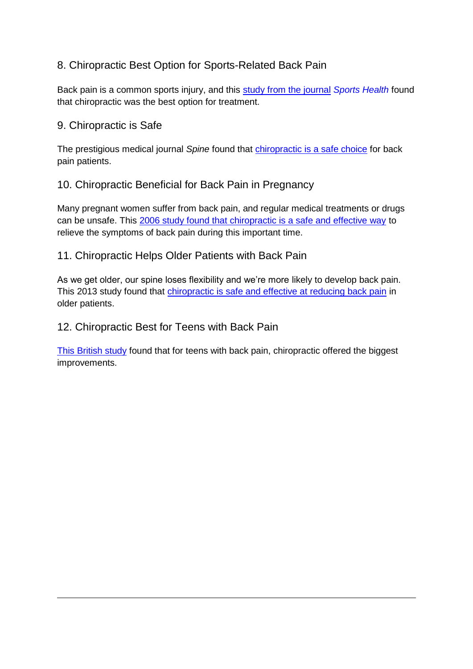## 8. Chiropractic Best Option for Sports-Related Back Pain

Back pain is a common sports injury, and this [study from the journal](http://www.chironexus.net/2013/03/video-chiropractic-best-option-for-sports-related-back-pain/) *Sports Health* found that chiropractic was the best option for treatment.

#### 9. Chiropractic is Safe

**.** 

The prestigious medical journal *Spine* found that [chiropractic is a safe choice](http://www.chironexus.net/2013/07/chiropractic-is-safe-study-shows/) for back pain patients.

## 10. Chiropractic Beneficial for Back Pain in Pregnancy

Many pregnant women suffer from back pain, and regular medical treatments or drugs can be unsafe. This [2006 study found that chiropractic is a safe and effective way](http://www.chironexus.net/2012/07/pregnant-women-find-back-pain-relief-with-chiropractic/) to relieve the symptoms of back pain during this important time.

## 11. Chiropractic Helps Older Patients with Back Pain

As we get older, our spine loses flexibility and we're more likely to develop back pain. This 2013 study found that [chiropractic is safe and effective at reducing back pain](http://www.chironexus.net/2013/06/manual-therapy-effective-for-back-pain-in-older-adults/) in older patients.

## 12. Chiropractic Best for Teens with Back Pain

[This British study](http://www.chironexus.net/2013/05/video-manual-therapies-best-option-for-teens-with-back-pain/) found that for teens with back pain, chiropractic offered the biggest improvements.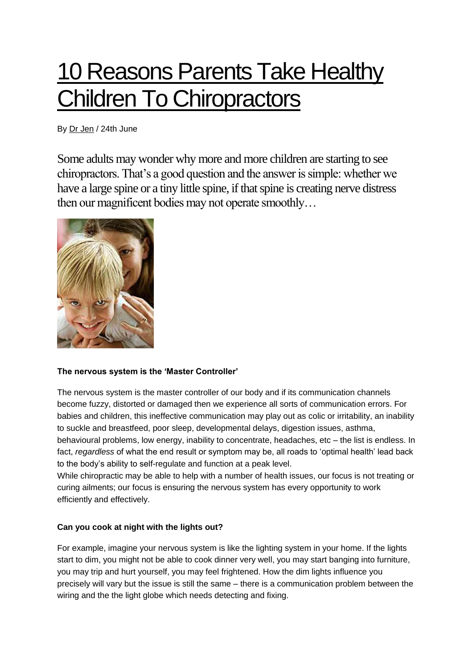# 10 [Reasons](http://welladjustedbabies.com/why-parents-take-children-to-chiropractors/) Parents Take Healthy **Children To [Chiropractors](http://welladjustedbabies.com/why-parents-take-children-to-chiropractors/)**

By Dr [Jen](http://welladjustedbabies.com/author/Matt/) / 24th June

Some adults may wonder why more and more children are starting to see chiropractors. That's a good question and the answer is simple: whether we have a large spine or a tiny little spine, if that spine is creating nerve distress then our magnificent bodies may not operate smoothly…



#### **The nervous system is the 'Master Controller'**

The nervous system is the master controller of our body and if its communication channels become fuzzy, distorted or damaged then we experience all sorts of communication errors. For babies and children, this ineffective communication may play out as colic or irritability, an inability to suckle and breastfeed, poor sleep, developmental delays, digestion issues, asthma, behavioural problems, low energy, inability to concentrate, headaches, etc – the list is endless. In fact, *regardless* of what the end result or symptom may be, all roads to 'optimal health' lead back to the body's ability to self-regulate and function at a peak level.

While chiropractic may be able to help with a number of health issues, our focus is not treating or curing ailments; our focus is ensuring the nervous system has every opportunity to work efficiently and effectively.

#### **Can you cook at night with the lights out?**

For example, imagine your nervous system is like the lighting system in your home. If the lights start to dim, you might not be able to cook dinner very well, you may start banging into furniture, you may trip and hurt yourself, you may feel frightened. How the dim lights influence you precisely will vary but the issue is still the same – there is a communication problem between the wiring and the the light globe which needs detecting and fixing.